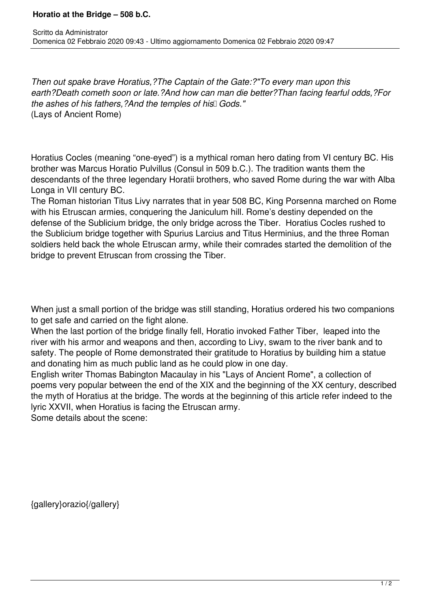*Then out spake brave Horatius,?The Captain of the Gate:?"To every man upon this earth?Death cometh soon or late.?And how can man die better?Than facing fearful odds,?For* the ashes of his fathers, ?And the temples of his<sup>[]</sup> Gods." (Lays of Ancient Rome)

Horatius Cocles (meaning "one-eyed") is a mythical roman hero dating from VI century BC. His brother was Marcus Horatio Pulvillus (Consul in 509 b.C.). The tradition wants them the descendants of the three legendary Horatii brothers, who saved Rome during the war with Alba Longa in VII century BC.

The Roman historian Titus Livy narrates that in year 508 BC, King Porsenna marched on Rome with his Etruscan armies, conquering the Janiculum hill. Rome's destiny depended on the defense of the Sublicium bridge, the only bridge across the Tiber. Horatius Cocles rushed to the Sublicium bridge together with Spurius Larcius and Titus Herminius, and the three Roman soldiers held back the whole Etruscan army, while their comrades started the demolition of the bridge to prevent Etruscan from crossing the Tiber.

When just a small portion of the bridge was still standing, Horatius ordered his two companions to get safe and carried on the fight alone.

When the last portion of the bridge finally fell, Horatio invoked Father Tiber, leaped into the river with his armor and weapons and then, according to Livy, swam to the river bank and to safety. The people of Rome demonstrated their gratitude to Horatius by building him a statue and donating him as much public land as he could plow in one day.

English writer Thomas Babington Macaulay in his "Lays of Ancient Rome", a collection of poems very popular between the end of the XIX and the beginning of the XX century, described the myth of Horatius at the bridge. The words at the beginning of this article refer indeed to the lyric XXVII, when Horatius is facing the Etruscan army.

Some details about the scene:

{gallery}orazio{/gallery}